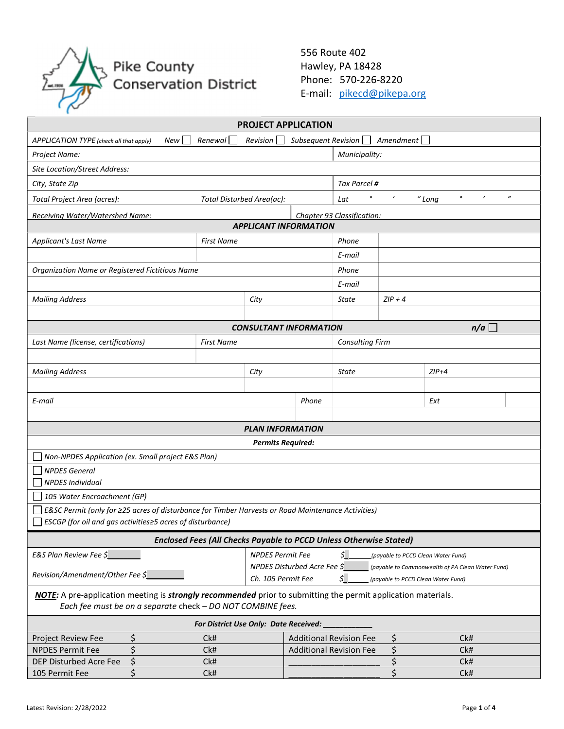

556 Route 402 Hawley, PA 18428 Phone: 570-226-8220 E-mail: pikecd@pikepa.org

| <b>PROJECT APPLICATION</b>                                                                                                                                                        |                                       |                                                                |                        |           |                              |                   |  |  |
|-----------------------------------------------------------------------------------------------------------------------------------------------------------------------------------|---------------------------------------|----------------------------------------------------------------|------------------------|-----------|------------------------------|-------------------|--|--|
| Renewal<br>Subsequent Revision<br>$A$ mendment $\Box$<br>Revision<br>APPLICATION TYPE (check all that apply)<br>New                                                               |                                       |                                                                |                        |           |                              |                   |  |  |
| Project Name:                                                                                                                                                                     | Municipality:                         |                                                                |                        |           |                              |                   |  |  |
| <b>Site Location/Street Address:</b>                                                                                                                                              |                                       |                                                                |                        |           |                              |                   |  |  |
| City, State Zip                                                                                                                                                                   |                                       |                                                                | Tax Parcel #           |           |                              |                   |  |  |
| Total Disturbed Area(ac):<br>Total Project Area (acres):                                                                                                                          |                                       |                                                                | $\bullet$<br>Lat       | $\prime$  | $\prime$<br>$\circ$<br>"Long | $^{\prime\prime}$ |  |  |
| Chapter 93 Classification:<br>Receiving Water/Watershed Name:                                                                                                                     |                                       |                                                                |                        |           |                              |                   |  |  |
| <b>APPLICANT INFORMATION</b>                                                                                                                                                      |                                       |                                                                |                        |           |                              |                   |  |  |
| <b>Applicant's Last Name</b>                                                                                                                                                      | <b>First Name</b>                     |                                                                |                        |           |                              |                   |  |  |
|                                                                                                                                                                                   |                                       |                                                                | E-mail                 |           |                              |                   |  |  |
| Organization Name or Registered Fictitious Name                                                                                                                                   |                                       |                                                                | Phone                  |           |                              |                   |  |  |
|                                                                                                                                                                                   |                                       |                                                                | E-mail                 |           |                              |                   |  |  |
| <b>Mailing Address</b>                                                                                                                                                            | City                                  |                                                                | <b>State</b>           | $ZIP + 4$ |                              |                   |  |  |
|                                                                                                                                                                                   |                                       |                                                                |                        |           |                              |                   |  |  |
| <b>CONSULTANT INFORMATION</b>                                                                                                                                                     |                                       |                                                                | n/a                    |           |                              |                   |  |  |
| Last Name (license, certifications)                                                                                                                                               | <b>First Name</b>                     |                                                                | <b>Consulting Firm</b> |           |                              |                   |  |  |
|                                                                                                                                                                                   |                                       |                                                                |                        |           |                              |                   |  |  |
| <b>Mailing Address</b>                                                                                                                                                            | City                                  |                                                                | State                  |           | $ZIP+4$                      |                   |  |  |
|                                                                                                                                                                                   |                                       |                                                                |                        |           |                              |                   |  |  |
| E-mail                                                                                                                                                                            |                                       | Phone                                                          | Ext                    |           |                              |                   |  |  |
|                                                                                                                                                                                   |                                       |                                                                |                        |           |                              |                   |  |  |
|                                                                                                                                                                                   | <b>PLAN INFORMATION</b>               |                                                                |                        |           |                              |                   |  |  |
|                                                                                                                                                                                   |                                       | <b>Permits Required:</b>                                       |                        |           |                              |                   |  |  |
| Non-NPDES Application (ex. Small project E&S Plan)                                                                                                                                |                                       |                                                                |                        |           |                              |                   |  |  |
| <b>NPDES General</b>                                                                                                                                                              |                                       |                                                                |                        |           |                              |                   |  |  |
| <b>NPDES Individual</b>                                                                                                                                                           |                                       |                                                                |                        |           |                              |                   |  |  |
| 105 Water Encroachment (GP)<br>E&SC Permit (only for ≥25 acres of disturbance for Timber Harvests or Road Maintenance Activities)                                                 |                                       |                                                                |                        |           |                              |                   |  |  |
| ESCGP (for oil and gas activities≥5 acres of disturbance)                                                                                                                         |                                       |                                                                |                        |           |                              |                   |  |  |
|                                                                                                                                                                                   |                                       |                                                                |                        |           |                              |                   |  |  |
| <b>Enclosed Fees (All Checks Payable to PCCD Unless Otherwise Stated)</b>                                                                                                         |                                       |                                                                |                        |           |                              |                   |  |  |
| E&S Plan Review Fee \$<br><b>NPDES Permit Fee</b><br>\$_<br>(payable to PCCD Clean Water Fund)<br>NPDES Disturbed Acre Fee \$<br>(payable to Commonwealth of PA Clean Water Fund) |                                       |                                                                |                        |           |                              |                   |  |  |
| Revision/Amendment/Other Fee \$                                                                                                                                                   |                                       | \$<br>Ch. 105 Permit Fee<br>(payable to PCCD Clean Water Fund) |                        |           |                              |                   |  |  |
| NOTE: A pre-application meeting is strongly recommended prior to submitting the permit application materials.                                                                     |                                       |                                                                |                        |           |                              |                   |  |  |
| Each fee must be on a separate check - DO NOT COMBINE fees.                                                                                                                       |                                       |                                                                |                        |           |                              |                   |  |  |
| For District Use Only: Date Received:                                                                                                                                             |                                       |                                                                |                        |           |                              |                   |  |  |
| \$<br>Project Review Fee                                                                                                                                                          | Ck#<br><b>Additional Revision Fee</b> |                                                                |                        | \$        | Ck#                          |                   |  |  |
| \$<br><b>NPDES Permit Fee</b>                                                                                                                                                     | Ck#                                   | <b>Additional Revision Fee</b>                                 |                        | \$        | Ck#                          |                   |  |  |
| \$<br>DEP Disturbed Acre Fee                                                                                                                                                      | Ck#                                   |                                                                |                        | \$        | Ck#                          |                   |  |  |
| \$<br>105 Permit Fee                                                                                                                                                              | Ck#                                   |                                                                |                        | \$        | Ck#                          |                   |  |  |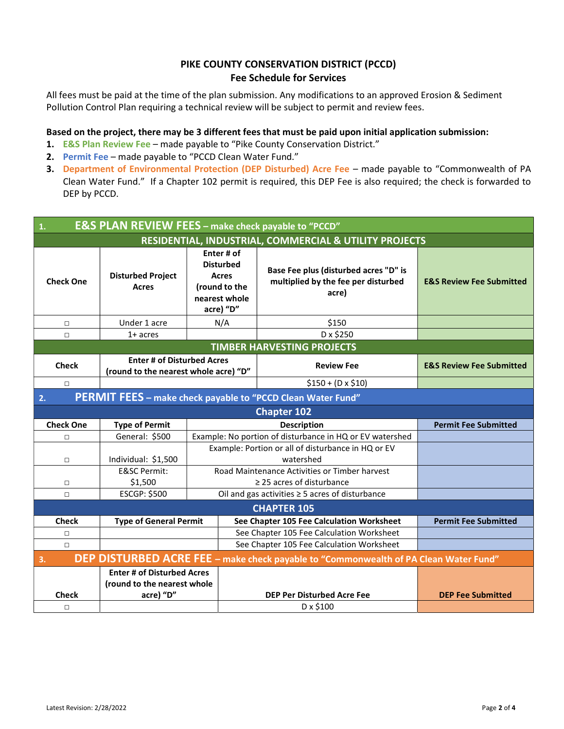# PIKE COUNTY CONSERVATION DISTRICT (PCCD) Fee Schedule for Services

All fees must be paid at the time of the plan submission. Any modifications to an approved Erosion & Sediment Pollution Control Plan requiring a technical review will be subject to permit and review fees.

## Based on the project, there may be 3 different fees that must be paid upon initial application submission:

- 1. E&S Plan Review Fee made payable to "Pike County Conservation District."
- 2. Permit Fee made payable to "PCCD Clean Water Fund."
- 3. Department of Environmental Protection (DEP Disturbed) Acre Fee made payable to "Commonwealth of PA Clean Water Fund." If a Chapter 102 permit is required, this DEP Fee is also required; the check is forwarded to DEP by PCCD.

| <b>E&amp;S PLAN REVIEW FEES</b> - make check payable to "PCCD"<br>$\mathbf{1}$ .           |                                                                               |                                                                                        |                                                                                       |                                     |  |  |  |
|--------------------------------------------------------------------------------------------|-------------------------------------------------------------------------------|----------------------------------------------------------------------------------------|---------------------------------------------------------------------------------------|-------------------------------------|--|--|--|
| RESIDENTIAL, INDUSTRIAL, COMMERCIAL & UTILITY PROJECTS                                     |                                                                               |                                                                                        |                                                                                       |                                     |  |  |  |
| <b>Check One</b>                                                                           | <b>Disturbed Project</b><br><b>Acres</b>                                      | Enter # of<br><b>Disturbed</b><br>Acres<br>(round to the<br>nearest whole<br>acre) "D" | Base Fee plus (disturbed acres "D" is<br>multiplied by the fee per disturbed<br>acre) | <b>E&amp;S Review Fee Submitted</b> |  |  |  |
| $\Box$                                                                                     | Under 1 acre                                                                  | N/A                                                                                    | \$150                                                                                 |                                     |  |  |  |
| □                                                                                          | $1+$ acres                                                                    |                                                                                        | D x \$250                                                                             |                                     |  |  |  |
| <b>TIMBER HARVESTING PROJECTS</b>                                                          |                                                                               |                                                                                        |                                                                                       |                                     |  |  |  |
| <b>Check</b>                                                                               | <b>Enter # of Disturbed Acres</b><br>(round to the nearest whole acre) "D"    |                                                                                        | <b>Review Fee</b>                                                                     | <b>E&amp;S Review Fee Submitted</b> |  |  |  |
| $\Box$                                                                                     |                                                                               | $$150 + (D \times $10)$                                                                |                                                                                       |                                     |  |  |  |
| PERMIT FEES - make check payable to "PCCD Clean Water Fund"<br>2.                          |                                                                               |                                                                                        |                                                                                       |                                     |  |  |  |
| <b>Chapter 102</b>                                                                         |                                                                               |                                                                                        |                                                                                       |                                     |  |  |  |
| <b>Check One</b>                                                                           | <b>Type of Permit</b>                                                         |                                                                                        | <b>Description</b>                                                                    | <b>Permit Fee Submitted</b>         |  |  |  |
| □                                                                                          | General: \$500                                                                |                                                                                        | Example: No portion of disturbance in HQ or EV watershed                              |                                     |  |  |  |
| $\Box$                                                                                     | Individual: \$1,500                                                           |                                                                                        | Example: Portion or all of disturbance in HQ or EV<br>watershed                       |                                     |  |  |  |
|                                                                                            | <b>E&amp;SC Permit:</b><br>\$1,500                                            | Road Maintenance Activities or Timber harvest<br>$\geq$ 25 acres of disturbance        |                                                                                       |                                     |  |  |  |
| $\Box$                                                                                     | <b>ESCGP: \$500</b>                                                           |                                                                                        |                                                                                       |                                     |  |  |  |
| Oil and gas activities $\geq$ 5 acres of disturbance<br>П<br><b>CHAPTER 105</b>            |                                                                               |                                                                                        |                                                                                       |                                     |  |  |  |
| <b>Check</b>                                                                               | <b>Type of General Permit</b>                                                 |                                                                                        | See Chapter 105 Fee Calculation Worksheet                                             | <b>Permit Fee Submitted</b>         |  |  |  |
| □                                                                                          |                                                                               |                                                                                        | See Chapter 105 Fee Calculation Worksheet                                             |                                     |  |  |  |
| $\Box$                                                                                     |                                                                               |                                                                                        | See Chapter 105 Fee Calculation Worksheet                                             |                                     |  |  |  |
| DEP DISTURBED ACRE FEE - make check payable to "Commonwealth of PA Clean Water Fund"<br>3. |                                                                               |                                                                                        |                                                                                       |                                     |  |  |  |
| <b>Check</b><br>$\Box$                                                                     | <b>Enter # of Disturbed Acres</b><br>(round to the nearest whole<br>acre) "D" |                                                                                        | <b>DEP Per Disturbed Acre Fee</b><br>D x \$100                                        | <b>DEP Fee Submitted</b>            |  |  |  |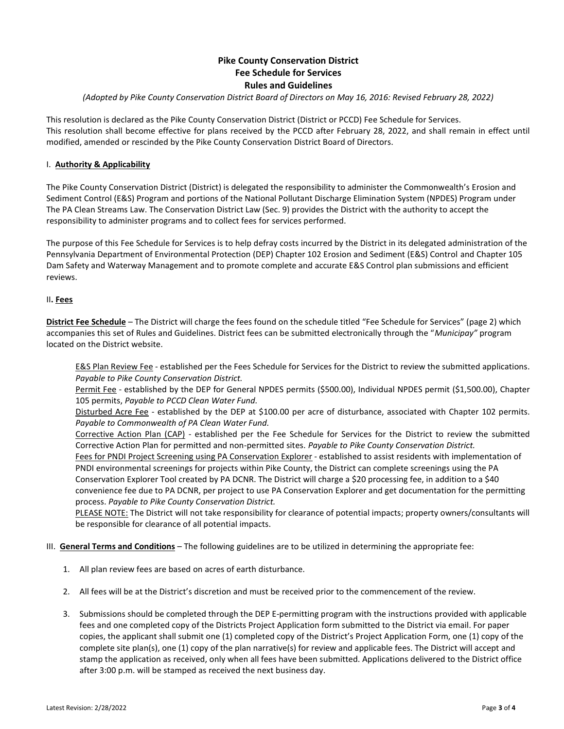## Pike County Conservation District Fee Schedule for Services Rules and Guidelines

### (Adopted by Pike County Conservation District Board of Directors on May 16, 2016: Revised February 28, 2022)

This resolution is declared as the Pike County Conservation District (District or PCCD) Fee Schedule for Services. This resolution shall become effective for plans received by the PCCD after February 28, 2022, and shall remain in effect until modified, amended or rescinded by the Pike County Conservation District Board of Directors.

### I. **Authority & Applicability**

The Pike County Conservation District (District) is delegated the responsibility to administer the Commonwealth's Erosion and Sediment Control (E&S) Program and portions of the National Pollutant Discharge Elimination System (NPDES) Program under The PA Clean Streams Law. The Conservation District Law (Sec. 9) provides the District with the authority to accept the responsibility to administer programs and to collect fees for services performed.

The purpose of this Fee Schedule for Services is to help defray costs incurred by the District in its delegated administration of the Pennsylvania Department of Environmental Protection (DEP) Chapter 102 Erosion and Sediment (E&S) Control and Chapter 105 Dam Safety and Waterway Management and to promote complete and accurate E&S Control plan submissions and efficient reviews.

#### II. Fees

District Fee Schedule – The District will charge the fees found on the schedule titled "Fee Schedule for Services" (page 2) which accompanies this set of Rules and Guidelines. District fees can be submitted electronically through the "Municipay" program located on the District website.

E&S Plan Review Fee - established per the Fees Schedule for Services for the District to review the submitted applications. Payable to Pike County Conservation District.

Permit Fee - established by the DEP for General NPDES permits (\$500.00), Individual NPDES permit (\$1,500.00), Chapter 105 permits, Payable to PCCD Clean Water Fund.

Disturbed Acre Fee - established by the DEP at \$100.00 per acre of disturbance, associated with Chapter 102 permits. Payable to Commonwealth of PA Clean Water Fund.

Corrective Action Plan (CAP) - established per the Fee Schedule for Services for the District to review the submitted Corrective Action Plan for permitted and non-permitted sites. Payable to Pike County Conservation District.

Fees for PNDI Project Screening using PA Conservation Explorer - established to assist residents with implementation of PNDI environmental screenings for projects within Pike County, the District can complete screenings using the PA Conservation Explorer Tool created by PA DCNR. The District will charge a \$20 processing fee, in addition to a \$40 convenience fee due to PA DCNR, per project to use PA Conservation Explorer and get documentation for the permitting process. Payable to Pike County Conservation District.

PLEASE NOTE: The District will not take responsibility for clearance of potential impacts; property owners/consultants will be responsible for clearance of all potential impacts.

#### III. General Terms and Conditions - The following guidelines are to be utilized in determining the appropriate fee:

- 1. All plan review fees are based on acres of earth disturbance.
- 2. All fees will be at the District's discretion and must be received prior to the commencement of the review.
- 3. Submissions should be completed through the DEP E-permitting program with the instructions provided with applicable fees and one completed copy of the Districts Project Application form submitted to the District via email. For paper copies, the applicant shall submit one (1) completed copy of the District's Project Application Form, one (1) copy of the complete site plan(s), one (1) copy of the plan narrative(s) for review and applicable fees. The District will accept and stamp the application as received, only when all fees have been submitted. Applications delivered to the District office after 3:00 p.m. will be stamped as received the next business day.